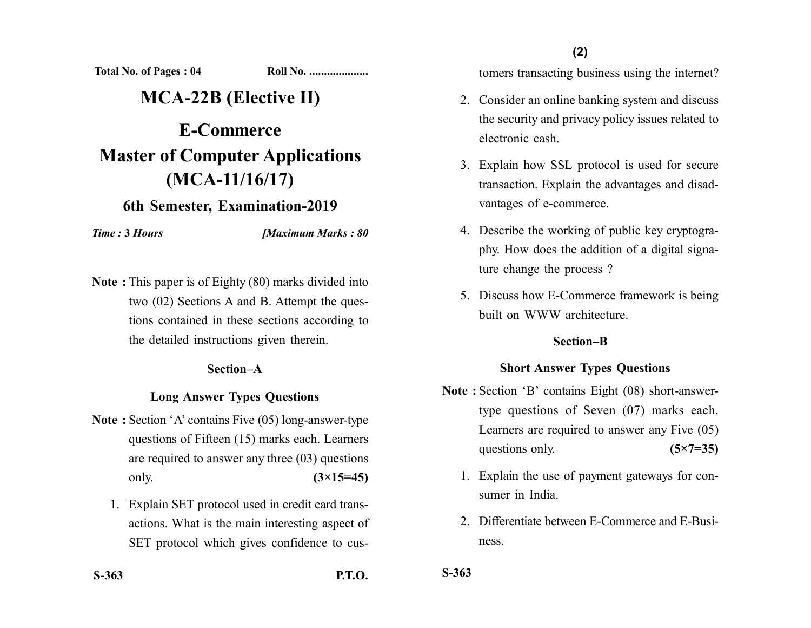**Total No. of Pages : 04 Roll No. ...................** 

# **MCA-22B (Elective II)**

# **E-Commerce Master of Computer Applications (MCA-11/16/17)**

# **6th Semester, Examination-2019**

*Time :* **3** *Hours [Maximum Marks : 80*

**Note :** This paper is of Eighty (80) marks divided into two (02) Sections A and B. Attempt the questions contained in these sections according to the detailed instructions given therein.

#### **Section–A**

#### **Long Answer Types Questions**

- **Note :** Section 'A' contains Five (05) long-answer-type questions of Fifteen (15) marks each. Learners are required to answer any three (03) questions only. **(3×15=45)**
	- 1. Explain SET protocol used in credit card transactions. What is the main interesting aspect of SET protocol which gives confidence to cus-

**(2)**

tomers transacting business using the internet?

- 2. Consider an online banking system and discuss the security and privacy policy issues related to electronic cash.
- 3. Explain how SSL protocol is used for secure transaction. Explain the advantages and disadvantages of e-commerce.
- 4. Describe the working of public key cryptography. How does the addition of a digital signature change the process ?
- 5. Discuss how E-Commerce framework is being built on WWW architecture.

#### **Section–B**

### **Short Answer Types Questions**

- **Note :** Section 'B' contains Eight (08) short-answertype questions of Seven (07) marks each. Learners are required to answer any Five (05) questions only. **(5×7=35)** 
	- 1. Explain the use of payment gateways for consumer in India.
	- 2. Differentiate between E-Commerce and E-Business.

**S-363**